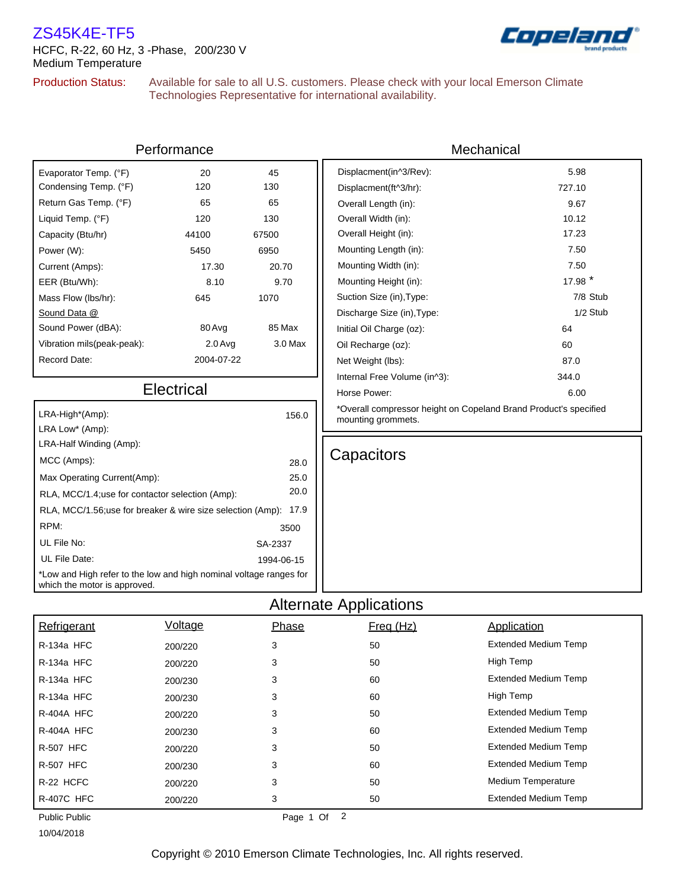## ZS45K4E-TF5

HCFC, R-22, 60 Hz, 3 -Phase, 200/230 V Medium Temperature

## Copela

## Production Status:

Available for sale to all U.S. customers. Please check with your local Emerson Climate Technologies Representative for international availability.

| Performance                                                                                        |            |            | Mechanical                                                       |                             |  |  |  |  |
|----------------------------------------------------------------------------------------------------|------------|------------|------------------------------------------------------------------|-----------------------------|--|--|--|--|
| Evaporator Temp. (°F)                                                                              | 20         | 45         | Displacment(in^3/Rev):                                           | 5.98                        |  |  |  |  |
| Condensing Temp. (°F)                                                                              | 120        | 130        | Displacment(ft^3/hr):                                            | 727.10                      |  |  |  |  |
| Return Gas Temp. (°F)                                                                              | 65         | 65         | Overall Length (in):                                             | 9.67                        |  |  |  |  |
| Liquid Temp. (°F)                                                                                  | 120        | 130        | Overall Width (in):                                              | 10.12                       |  |  |  |  |
| Capacity (Btu/hr)                                                                                  | 44100      | 67500      | Overall Height (in):                                             | 17.23                       |  |  |  |  |
| Power (W):                                                                                         | 5450       | 6950       | Mounting Length (in):                                            | 7.50                        |  |  |  |  |
| Current (Amps):                                                                                    | 17.30      | 20.70      | Mounting Width (in):                                             | 7.50                        |  |  |  |  |
| EER (Btu/Wh):                                                                                      | 8.10       | 9.70       | Mounting Height (in):                                            | 17.98 *                     |  |  |  |  |
| Mass Flow (lbs/hr):                                                                                | 645        | 1070       | Suction Size (in), Type:                                         | 7/8 Stub                    |  |  |  |  |
| Sound Data @                                                                                       |            |            | Discharge Size (in), Type:                                       | 1/2 Stub                    |  |  |  |  |
| Sound Power (dBA):                                                                                 | 80 Avg     | 85 Max     | Initial Oil Charge (oz):                                         | 64                          |  |  |  |  |
| Vibration mils(peak-peak):                                                                         | $2.0$ Avg  | $3.0$ Max  | Oil Recharge (oz):                                               | 60                          |  |  |  |  |
| Record Date:                                                                                       | 2004-07-22 |            | Net Weight (lbs):                                                | 87.0                        |  |  |  |  |
|                                                                                                    |            |            | Internal Free Volume (in^3):                                     | 344.0                       |  |  |  |  |
| <b>Electrical</b>                                                                                  |            |            | Horse Power:                                                     | 6.00                        |  |  |  |  |
| LRA-High*(Amp):<br>156.0                                                                           |            |            | *Overall compressor height on Copeland Brand Product's specified |                             |  |  |  |  |
| LRA Low* (Amp):                                                                                    |            |            | mounting grommets.                                               |                             |  |  |  |  |
| LRA-Half Winding (Amp):                                                                            |            |            |                                                                  |                             |  |  |  |  |
| MCC (Amps):                                                                                        |            | 28.0       | Capacitors                                                       |                             |  |  |  |  |
| 25.0<br>Max Operating Current(Amp):                                                                |            |            |                                                                  |                             |  |  |  |  |
| 20.0<br>RLA, MCC/1.4; use for contactor selection (Amp):                                           |            |            |                                                                  |                             |  |  |  |  |
| RLA, MCC/1.56;use for breaker & wire size selection (Amp): 17.9                                    |            |            |                                                                  |                             |  |  |  |  |
| RPM:                                                                                               |            | 3500       |                                                                  |                             |  |  |  |  |
| UL File No:                                                                                        |            | SA-2337    |                                                                  |                             |  |  |  |  |
| UL File Date:                                                                                      |            | 1994-06-15 |                                                                  |                             |  |  |  |  |
| *Low and High refer to the low and high nominal voltage ranges for<br>which the motor is approved. |            |            |                                                                  |                             |  |  |  |  |
| <b>Alternate Applications</b>                                                                      |            |            |                                                                  |                             |  |  |  |  |
| Refrigerant                                                                                        | Voltage    | Phase      | Freq (Hz)                                                        | Application                 |  |  |  |  |
| R-134a HFC                                                                                         | 200/220    | 3          | 50                                                               | <b>Extended Medium Temp</b> |  |  |  |  |
|                                                                                                    |            |            |                                                                  |                             |  |  |  |  |

| Refrigerant          | <b>Voltage</b> | Phase          | Freq (Hz) | Application                 |
|----------------------|----------------|----------------|-----------|-----------------------------|
| R-134a HFC           | 200/220        | 3              | 50        | <b>Extended Medium Temp</b> |
| <b>R-134a HFC</b>    | 200/220        | 3              | 50        | High Temp                   |
| R-134a HFC           | 200/230        | 3              | 60        | <b>Extended Medium Temp</b> |
| R-134a HFC           | 200/230        | 3              | 60        | High Temp                   |
| R-404A HFC           | 200/220        | 3              | 50        | <b>Extended Medium Temp</b> |
| R-404A HFC           | 200/230        | 3              | 60        | <b>Extended Medium Temp</b> |
| <b>R-507 HFC</b>     | 200/220        | 3              | 50        | <b>Extended Medium Temp</b> |
| <b>R-507 HFC</b>     | 200/230        | 3              | 60        | <b>Extended Medium Temp</b> |
| R-22 HCFC            | 200/220        | 3              | 50        | <b>Medium Temperature</b>   |
| <b>R-407C HFC</b>    | 200/220        | 3              | 50        | <b>Extended Medium Temp</b> |
| <b>Public Public</b> |                | 2<br>Page 1 Of |           |                             |

10/04/2018